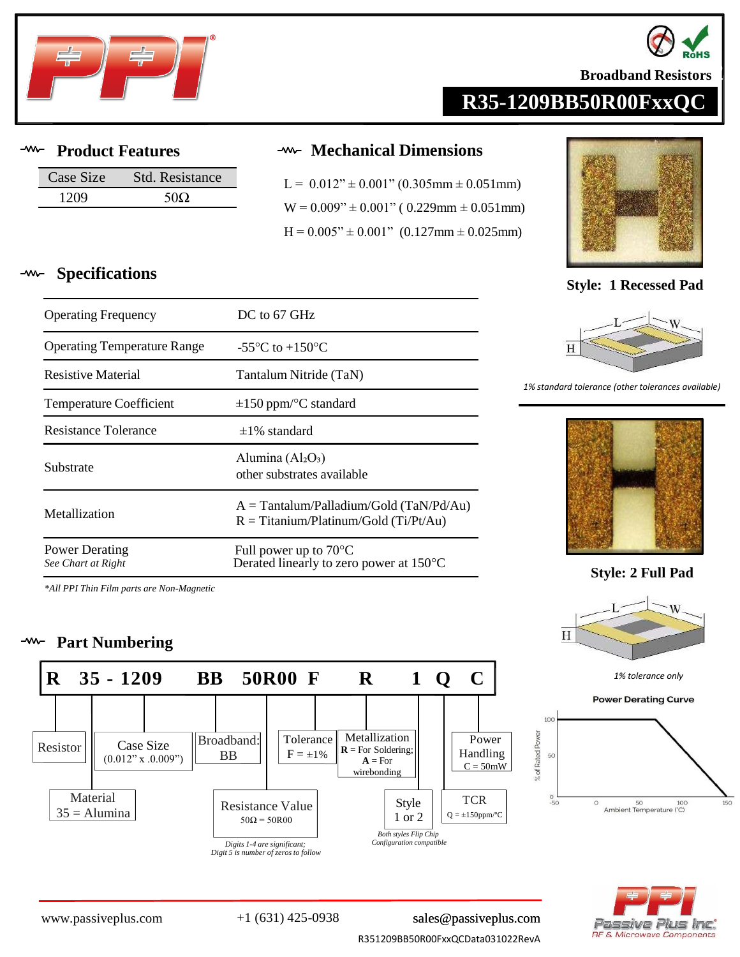



**Broadband Resistors** 

# **R35-1209BB50R00FxxQC**

**Specifications**

| Case Size | <b>Std. Resistance</b> |
|-----------|------------------------|
| 1209      |                        |

Operating Frequency DC to 67 GHz

### **Product Features Mechanical Dimensions**

 $L = 0.012$ "  $\pm$  0.001" (0.305mm  $\pm$  0.051mm)  $W = 0.009$ "  $\pm 0.001$ " ( 0.229mm  $\pm 0.051$ mm)  $H = 0.005" \pm 0.001"$  (0.127mm  $\pm$  0.025mm)



**Style: 1 Recessed Pad**



### *1% standard tolerance (other tolerances available)*



**Style: 2 Full Pad**







| <b>Operating Temperature Range</b> | -55 $\mathrm{^{\circ}C}$ to +150 $\mathrm{^{\circ}C}$                                 |
|------------------------------------|---------------------------------------------------------------------------------------|
| <b>Resistive Material</b>          | Tantalum Nitride (TaN)                                                                |
| <b>Temperature Coefficient</b>     | $\pm 150$ ppm/°C standard                                                             |
| Resistance Tolerance               | $\pm$ 1% standard                                                                     |
| Substrate                          | Alumina $(Al_2O_3)$<br>other substrates available                                     |
| Metallization                      | $A = Tantalum/Palladium/Gold (TaN/Pd/Au)$<br>$R = T$ itanium/Platinum/Gold (Ti/Pt/Au) |

Power Derating *See Chart at Right* Full power up to 70°C Derated linearly to zero power at 150°C

*\*All PPI Thin Film parts are Non-Magnetic*

#### $-*www* -$ **Part Numbering**



[www.passiveplus.com](http://www.passiveplus.com) +1 (631) 425-0938 [sales@passiveplus.com](mailto:sales@passiveplus.com)

R351209BB50R00FxxQCData031022RevA